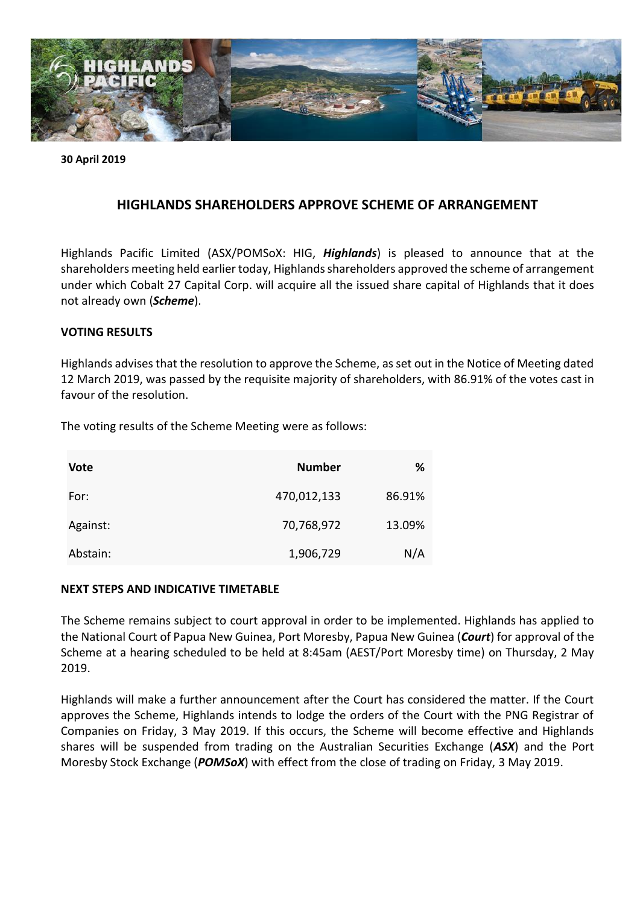

**30 April 2019**

# **HIGHLANDS SHAREHOLDERS APPROVE SCHEME OF ARRANGEMENT**

Highlands Pacific Limited (ASX/POMSoX: HIG, *Highlands*) is pleased to announce that at the shareholders meeting held earlier today, Highlands shareholders approved the scheme of arrangement under which Cobalt 27 Capital Corp. will acquire all the issued share capital of Highlands that it does not already own (*Scheme*).

## **VOTING RESULTS**

Highlands advises that the resolution to approve the Scheme, as set out in the Notice of Meeting dated 12 March 2019, was passed by the requisite majority of shareholders, with 86.91% of the votes cast in favour of the resolution.

The voting results of the Scheme Meeting were as follows:

| <b>Vote</b> | <b>Number</b> | ℅      |
|-------------|---------------|--------|
| For:        | 470,012,133   | 86.91% |
| Against:    | 70,768,972    | 13.09% |
| Abstain:    | 1,906,729     | N/A    |

## **NEXT STEPS AND INDICATIVE TIMETABLE**

The Scheme remains subject to court approval in order to be implemented. Highlands has applied to the National Court of Papua New Guinea, Port Moresby, Papua New Guinea (*Court*) for approval of the Scheme at a hearing scheduled to be held at 8:45am (AEST/Port Moresby time) on Thursday, 2 May 2019.

Highlands will make a further announcement after the Court has considered the matter. If the Court approves the Scheme, Highlands intends to lodge the orders of the Court with the PNG Registrar of Companies on Friday, 3 May 2019. If this occurs, the Scheme will become effective and Highlands shares will be suspended from trading on the Australian Securities Exchange (*ASX*) and the Port Moresby Stock Exchange (*POMSoX*) with effect from the close of trading on Friday, 3 May 2019.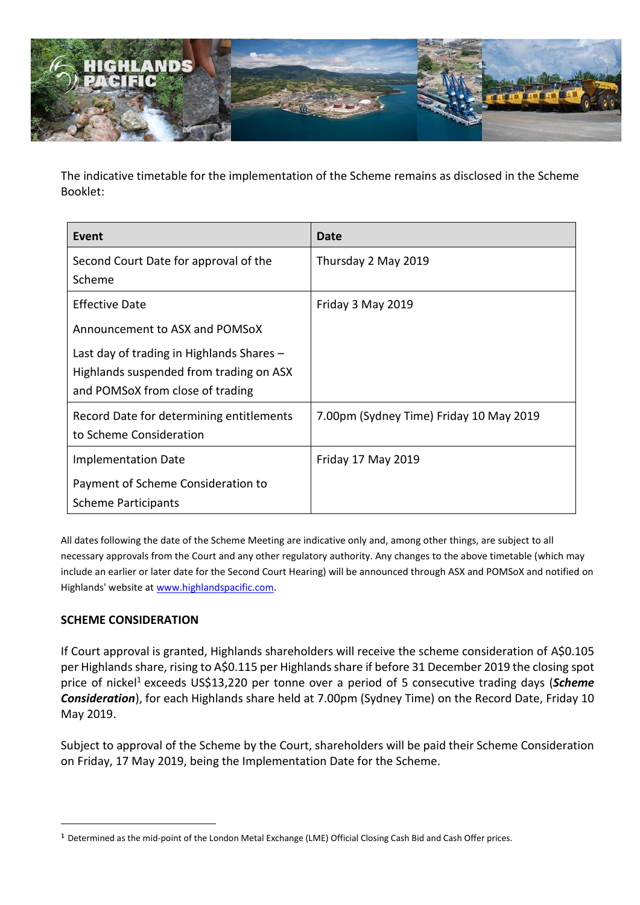

The indicative timetable for the implementation of the Scheme remains as disclosed in the Scheme Booklet:

| Date                                    |
|-----------------------------------------|
| Thursday 2 May 2019                     |
| Friday 3 May 2019                       |
|                                         |
| 7.00pm (Sydney Time) Friday 10 May 2019 |
| Friday 17 May 2019                      |
|                                         |
|                                         |

All dates following the date of the Scheme Meeting are indicative only and, among other things, are subject to all necessary approvals from the Court and any other regulatory authority. Any changes to the above timetable (which may include an earlier or later date for the Second Court Hearing) will be announced through ASX and POMSoX and notified on Highlands' website a[t www.highlandspacific.com](http://www.highlandspacific.com/).

# **SCHEME CONSIDERATION**

1

If Court approval is granted, Highlands shareholders will receive the scheme consideration of A\$0.105 per Highlands share, rising to A\$0.115 per Highlands share if before 31 December 2019 the closing spot price of nickel<sup>1</sup> exceeds US\$13,220 per tonne over a period of 5 consecutive trading days (*Scheme Consideration*), for each Highlands share held at 7.00pm (Sydney Time) on the Record Date, Friday 10 May 2019.

Subject to approval of the Scheme by the Court, shareholders will be paid their Scheme Consideration on Friday, 17 May 2019, being the Implementation Date for the Scheme.

<sup>&</sup>lt;sup>1</sup> Determined as the mid-point of the London Metal Exchange (LME) Official Closing Cash Bid and Cash Offer prices.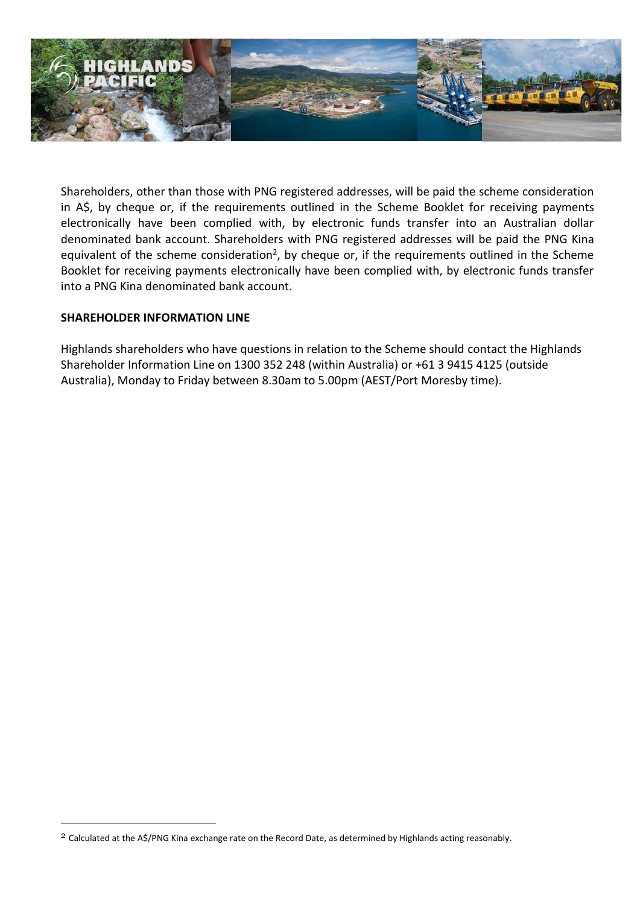

Shareholders, other than those with PNG registered addresses, will be paid the scheme consideration in A\$, by cheque or, if the requirements outlined in the Scheme Booklet for receiving payments electronically have been complied with, by electronic funds transfer into an Australian dollar denominated bank account. Shareholders with PNG registered addresses will be paid the PNG Kina equivalent of the scheme consideration<sup>2</sup>, by cheque or, if the requirements outlined in the Scheme Booklet for receiving payments electronically have been complied with, by electronic funds transfer into a PNG Kina denominated bank account.

# **SHAREHOLDER INFORMATION LINE**

1

Highlands shareholders who have questions in relation to the Scheme should contact the Highlands Shareholder Information Line on 1300 352 248 (within Australia) or +61 3 9415 4125 (outside Australia), Monday to Friday between 8.30am to 5.00pm (AEST/Port Moresby time).

<sup>2</sup> Calculated at the A\$/PNG Kina exchange rate on the Record Date, as determined by Highlands acting reasonably.